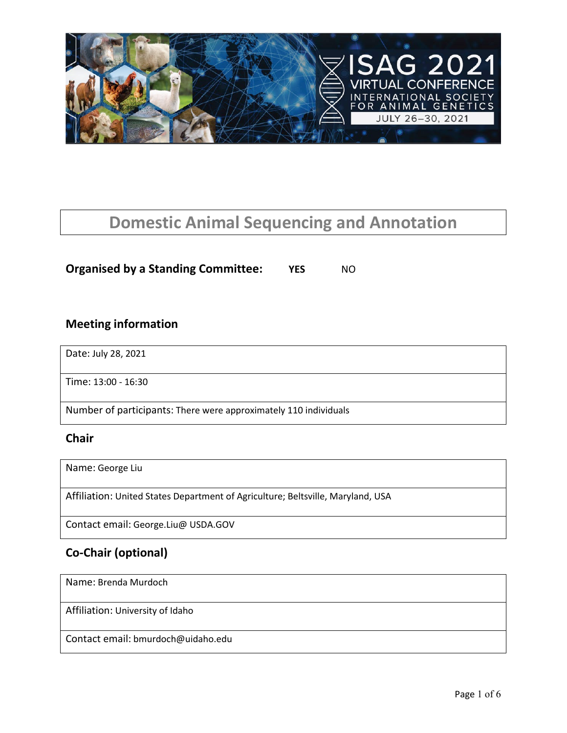

# **Domestic Animal Sequencing and Annotation**

### **Organised by a Standing Committee: YES** NO

### **Meeting information**

Date: July 28, 2021

Time: 13:00 - 16:30

Number of participants: There were approximately 110 individuals

#### **Chair**

Name: George Liu

Affiliation: United States Department of Agriculture; Beltsville, Maryland, USA

Contact email: George.Liu@ USDA.GOV

### **Co-Chair (optional)**

Name: Brenda Murdoch

Affiliation: University of Idaho

Contact email: bmurdoch@uidaho.edu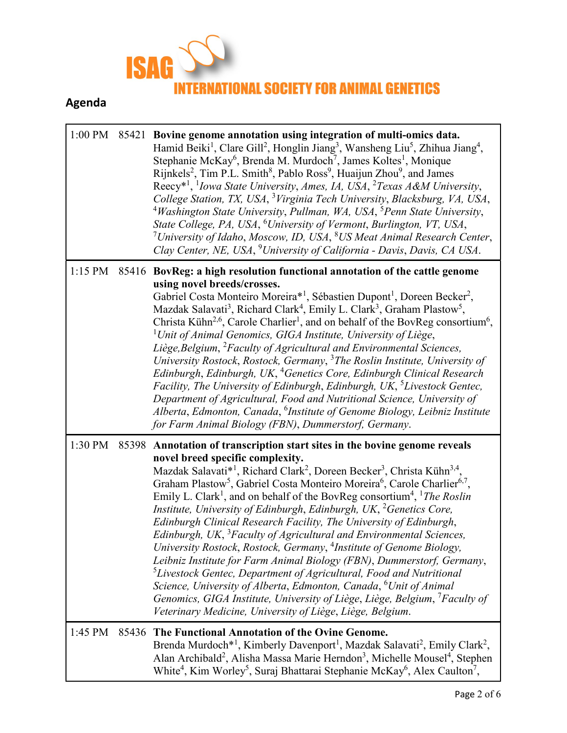

## **Agenda**

|         |       | 1:00 PM 85421 Bovine genome annotation using integration of multi-omics data.<br>Hamid Beiki <sup>1</sup> , Clare Gill <sup>2</sup> , Honglin Jiang <sup>3</sup> , Wansheng Liu <sup>5</sup> , Zhihua Jiang <sup>4</sup> ,<br>Stephanie McKay <sup>6</sup> , Brenda M. Murdoch <sup>7</sup> , James Koltes <sup>1</sup> , Monique<br>Rijnkels <sup>2</sup> , Tim P.L. Smith <sup>8</sup> , Pablo Ross <sup>9</sup> , Huaijun Zhou <sup>9</sup> , and James<br>Reecy <sup>*1</sup> , <sup>1</sup> <i>Iowa State University, Ames, IA, USA, <sup>2</sup>Texas A&amp;M University,</i><br>College Station, TX, USA, <sup>3</sup> Virginia Tech University, Blacksburg, VA, USA,<br><sup>4</sup> Washington State University, Pullman, WA, USA, <sup>5</sup> Penn State University,<br>State College, PA, USA, <sup>6</sup> University of Vermont, Burlington, VT, USA,<br><sup>7</sup> University of Idaho, Moscow, ID, USA, $8$ US Meat Animal Research Center,<br>Clay Center, NE, USA, <sup>9</sup> University of California - Davis, Davis, CA USA.                                                                                                                                                  |  |
|---------|-------|-------------------------------------------------------------------------------------------------------------------------------------------------------------------------------------------------------------------------------------------------------------------------------------------------------------------------------------------------------------------------------------------------------------------------------------------------------------------------------------------------------------------------------------------------------------------------------------------------------------------------------------------------------------------------------------------------------------------------------------------------------------------------------------------------------------------------------------------------------------------------------------------------------------------------------------------------------------------------------------------------------------------------------------------------------------------------------------------------------------------------------------------------------------------------------------------------------|--|
|         |       | 1:15 PM 85416 BovReg: a high resolution functional annotation of the cattle genome<br>using novel breeds/crosses.<br>Gabriel Costa Monteiro Moreira* <sup>1</sup> , Sébastien Dupont <sup>1</sup> , Doreen Becker <sup>2</sup> ,<br>Mazdak Salavati <sup>3</sup> , Richard Clark <sup>4</sup> , Emily L. Clark <sup>3</sup> , Graham Plastow <sup>5</sup> ,<br>Christa Kühn <sup>2,6</sup> , Carole Charlier <sup>1</sup> , and on behalf of the BovReg consortium <sup>6</sup> ,<br><sup>1</sup> Unit of Animal Genomics, GIGA Institute, University of Liège,<br>Liège, Belgium, <sup>2</sup> Faculty of Agricultural and Environmental Sciences,<br>University Rostock, Rostock, Germany, <sup>3</sup> The Roslin Institute, University of<br>Edinburgh, Edinburgh, UK, <sup>4</sup> Genetics Core, Edinburgh Clinical Research<br>Facility, The University of Edinburgh, Edinburgh, UK, <sup>5</sup> Livestock Gentec,<br>Department of Agricultural, Food and Nutritional Science, University of<br>Alberta, Edmonton, Canada, <sup>6</sup> Institute of Genome Biology, Leibniz Institute<br>for Farm Animal Biology (FBN), Dummerstorf, Germany.                                               |  |
| 1:30 PM | 85398 | Annotation of transcription start sites in the bovine genome reveals<br>novel breed specific complexity.<br>Mazdak Salavati* <sup>1</sup> , Richard Clark <sup>2</sup> , Doreen Becker <sup>3</sup> , Christa Kühn <sup>3,4</sup> ,<br>Graham Plastow <sup>5</sup> , Gabriel Costa Monteiro Moreira <sup>6</sup> , Carole Charlier <sup>6,7</sup> ,<br>Emily L. Clark <sup>1</sup> , and on behalf of the BovReg consortium <sup>4</sup> , <sup>1</sup> The Roslin<br>Institute, University of Edinburgh, Edinburgh, UK, <sup>2</sup> Genetics Core,<br>Edinburgh Clinical Research Facility, The University of Edinburgh,<br>Edinburgh, UK, <sup>3</sup> Faculty of Agricultural and Environmental Sciences,<br>University Rostock, Rostock, Germany, <sup>4</sup> Institute of Genome Biology,<br>Leibniz Institute for Farm Animal Biology (FBN), Dummerstorf, Germany,<br><sup>5</sup> Livestock Gentec, Department of Agricultural, Food and Nutritional<br>Science, University of Alberta, Edmonton, Canada, <sup>6</sup> Unit of Animal<br>Genomics, GIGA Institute, University of Liège, Liège, Belgium, <sup>7</sup> Faculty of<br>Veterinary Medicine, University of Liège, Liège, Belgium. |  |
| 1:45 PM | 85436 | The Functional Annotation of the Ovine Genome.<br>Brenda Murdoch <sup>*1</sup> , Kimberly Davenport <sup>1</sup> , Mazdak Salavati <sup>2</sup> , Emily Clark <sup>2</sup> ,<br>Alan Archibald <sup>2</sup> , Alisha Massa Marie Herndon <sup>3</sup> , Michelle Mousel <sup>4</sup> , Stephen<br>White <sup>4</sup> , Kim Worley <sup>5</sup> , Suraj Bhattarai Stephanie McKay <sup>6</sup> , Alex Caulton <sup>7</sup> ,                                                                                                                                                                                                                                                                                                                                                                                                                                                                                                                                                                                                                                                                                                                                                                           |  |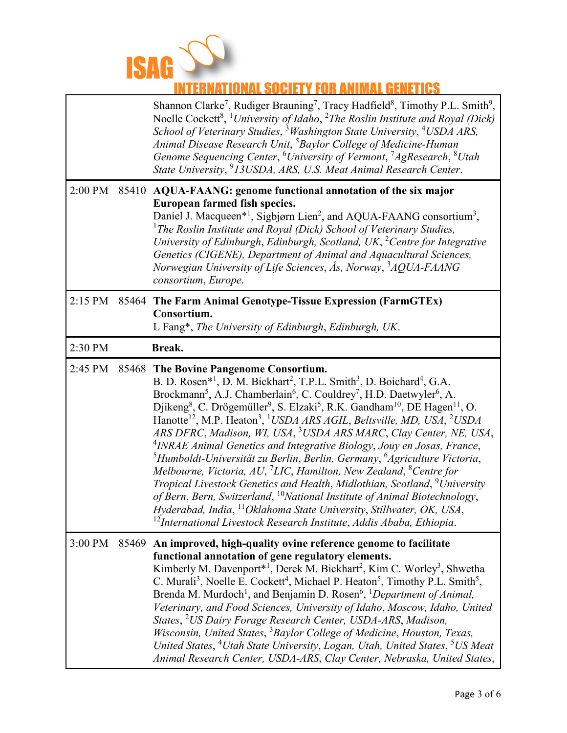

## **INTERNATIONAL SOCIETY FOR ANIMAL GENETICS**

|         |       | Shannon Clarke <sup>7</sup> , Rudiger Brauning <sup>7</sup> , Tracy Hadfield <sup>8</sup> , Timothy P.L. Smith <sup>9</sup> ,<br>Noelle Cockett <sup>8</sup> , <sup>1</sup> University of Idaho, <sup>2</sup> The Roslin Institute and Royal (Dick)<br>School of Veterinary Studies, <sup>3</sup> Washington State University, <sup>4</sup> USDA ARS,<br>Animal Disease Research Unit, <sup>5</sup> Baylor College of Medicine-Human<br>Genome Sequencing Center, <sup>6</sup> University of Vermont, <sup>7</sup> AgResearch, <sup>8</sup> Utah<br>State University, <sup>9</sup> 13USDA, ARS, U.S. Meat Animal Research Center.                                                                                                                                                                                                                                                                                                                                                                                                                                                                                                                                                                                                                                         |
|---------|-------|---------------------------------------------------------------------------------------------------------------------------------------------------------------------------------------------------------------------------------------------------------------------------------------------------------------------------------------------------------------------------------------------------------------------------------------------------------------------------------------------------------------------------------------------------------------------------------------------------------------------------------------------------------------------------------------------------------------------------------------------------------------------------------------------------------------------------------------------------------------------------------------------------------------------------------------------------------------------------------------------------------------------------------------------------------------------------------------------------------------------------------------------------------------------------------------------------------------------------------------------------------------------------|
| 2:00 PM | 85410 | AQUA-FAANG: genome functional annotation of the six major<br>European farmed fish species.<br>Daniel J. Macqueen* <sup>1</sup> , Sigbjørn Lien <sup>2</sup> , and AQUA-FAANG consortium <sup>3</sup> ,<br><sup>1</sup> The Roslin Institute and Royal (Dick) School of Veterinary Studies,<br>University of Edinburgh, Edinburgh, Scotland, UK, <sup>2</sup> Centre for Integrative<br>Genetics (CIGENE), Department of Animal and Aquacultural Sciences,<br>Norwegian University of Life Sciences, Ås, Norway, <sup>3</sup> AQUA-FAANG<br>consortium, Europe.                                                                                                                                                                                                                                                                                                                                                                                                                                                                                                                                                                                                                                                                                                            |
| 2:15 PM |       | 85464 The Farm Animal Genotype-Tissue Expression (FarmGTEx)<br>Consortium.<br>L Fang*, The University of Edinburgh, Edinburgh, UK.                                                                                                                                                                                                                                                                                                                                                                                                                                                                                                                                                                                                                                                                                                                                                                                                                                                                                                                                                                                                                                                                                                                                        |
| 2:30 PM |       | Break.                                                                                                                                                                                                                                                                                                                                                                                                                                                                                                                                                                                                                                                                                                                                                                                                                                                                                                                                                                                                                                                                                                                                                                                                                                                                    |
| 2:45 PM | 85468 | The Bovine Pangenome Consortium.<br>B. D. Rosen* <sup>1</sup> , D. M. Bickhart <sup>2</sup> , T.P.L. Smith <sup>3</sup> , D. Boichard <sup>4</sup> , G.A.<br>Brockmann <sup>5</sup> , A.J. Chamberlain <sup>6</sup> , C. Couldrey <sup>7</sup> , H.D. Daetwyler <sup>6</sup> , A.<br>Djikeng <sup>8</sup> , C. Drögemüller <sup>9</sup> , S. Elzaki <sup>5</sup> , R.K. Gandham <sup>10</sup> , DE Hagen <sup>11</sup> , O.<br>Hanotte <sup>12</sup> , M.P. Heaton <sup>3</sup> , <sup>1</sup> USDA ARS AGIL, Beltsville, MD, USA, <sup>2</sup> USDA<br>ARS DFRC, Madison, WI, USA, <sup>3</sup> USDA ARS MARC, Clay Center, NE, USA,<br><sup>4</sup> INRAE Animal Genetics and Integrative Biology, Jouy en Josas, France,<br><sup>5</sup> Humboldt-Universität zu Berlin, Berlin, Germany, <sup>6</sup> Agriculture Victoria,<br>Melbourne, Victoria, AU, <sup>7</sup> LIC, Hamilton, New Zealand, ${}^8$ Centre for<br>Tropical Livestock Genetics and Health, Midlothian, Scotland, <sup>9</sup> University<br>of Bern, Bern, Switzerland, <sup>10</sup> National Institute of Animal Biotechnology,<br>Hyderabad, India, <sup>11</sup> Oklahoma State University, Stillwater, OK, USA,<br>$^{12}$ International Livestock Research Institute, Addis Ababa, Ethiopia. |
| 3:00 PM | 85469 | An improved, high-quality ovine reference genome to facilitate<br>functional annotation of gene regulatory elements.<br>Kimberly M. Davenport* <sup>1</sup> , Derek M. Bickhart <sup>2</sup> , Kim C. Worley <sup>3</sup> , Shwetha<br>C. Murali <sup>3</sup> , Noelle E. Cockett <sup>4</sup> , Michael P. Heaton <sup>5</sup> , Timothy P.L. Smith <sup>5</sup> ,<br>Brenda M. Murdoch <sup>1</sup> , and Benjamin D. Rosen <sup>6</sup> , <sup>1</sup> Department of Animal,<br>Veterinary, and Food Sciences, University of Idaho, Moscow, Idaho, United<br>States, <sup>2</sup> US Dairy Forage Research Center, USDA-ARS, Madison,<br>Wisconsin, United States, <sup>3</sup> Baylor College of Medicine, Houston, Texas,<br>United States, <sup>4</sup> Utah State University, Logan, Utah, United States, <sup>5</sup> US Meat<br>Animal Research Center, USDA-ARS, Clay Center, Nebraska, United States,                                                                                                                                                                                                                                                                                                                                                          |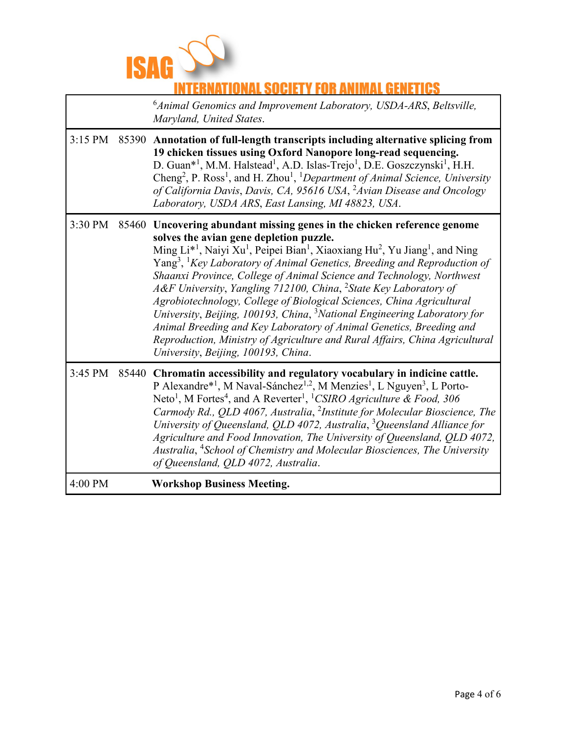

### **NAL SOCIETY FOR ANIMAL GENETICS**

6 *Animal Genomics and Improvement Laboratory, USDA-ARS*, *Beltsville, Maryland, United States*.

| $3:15$ PM | 85390 Annotation of full-length transcripts including alternative splicing from<br>19 chicken tissues using Oxford Nanopore long-read sequencing.<br>D. Guan <sup>*1</sup> , M.M. Halstead <sup>1</sup> , A.D. Islas-Trejo <sup>1</sup> , D.E. Goszczynski <sup>1</sup> , H.H.<br>Cheng <sup>2</sup> , P. Ross <sup>1</sup> , and H. Zhou <sup>1</sup> , <sup>1</sup> Department of Animal Science, University<br>of California Davis, Davis, CA, 95616 USA, <sup>2</sup> Avian Disease and Oncology<br>Laboratory, USDA ARS, East Lansing, MI 48823, USA.                                                                                                                                                                                                                                                                                                                        |
|-----------|-----------------------------------------------------------------------------------------------------------------------------------------------------------------------------------------------------------------------------------------------------------------------------------------------------------------------------------------------------------------------------------------------------------------------------------------------------------------------------------------------------------------------------------------------------------------------------------------------------------------------------------------------------------------------------------------------------------------------------------------------------------------------------------------------------------------------------------------------------------------------------------|
| 3:30 PM   | 85460 Uncovering abundant missing genes in the chicken reference genome<br>solves the avian gene depletion puzzle.<br>Ming $Li^{*1}$ , Naiyi Xu <sup>1</sup> , Peipei Bian <sup>1</sup> , Xiaoxiang Hu <sup>2</sup> , Yu Jiang <sup>1</sup> , and Ning<br>Yang <sup>3</sup> , <sup>1</sup> Key Laboratory of Animal Genetics, Breeding and Reproduction of<br>Shaanxi Province, College of Animal Science and Technology, Northwest<br>A&F University, Yangling 712100, China, <sup>2</sup> State Key Laboratory of<br>Agrobiotechnology, College of Biological Sciences, China Agricultural<br>University, Beijing, 100193, China, <sup>3</sup> National Engineering Laboratory for<br>Animal Breeding and Key Laboratory of Animal Genetics, Breeding and<br>Reproduction, Ministry of Agriculture and Rural Affairs, China Agricultural<br>University, Beijing, 100193, China. |
| 3:45 PM   | 85440 Chromatin accessibility and regulatory vocabulary in indicine cattle.<br>P Alexandre* <sup>1</sup> , M Naval-Sánchez <sup>1,2</sup> , M Menzies <sup>1</sup> , L Nguyen <sup>3</sup> , L Porto-<br>Neto <sup>1</sup> , M Fortes <sup>4</sup> , and A Reverter <sup>1</sup> , <sup>1</sup> CSIRO Agriculture & Food, 306<br>Carmody Rd., QLD 4067, Australia, <sup>2</sup> Institute for Molecular Bioscience, The<br>University of Queensland, QLD 4072, Australia, $3$ Queensland Alliance for<br>Agriculture and Food Innovation, The University of Queensland, QLD 4072,<br>Australia, <sup>4</sup> School of Chemistry and Molecular Biosciences, The University<br>of Queensland, QLD 4072, Australia.                                                                                                                                                                 |
| 4:00 PM   | <b>Workshop Business Meeting.</b>                                                                                                                                                                                                                                                                                                                                                                                                                                                                                                                                                                                                                                                                                                                                                                                                                                                 |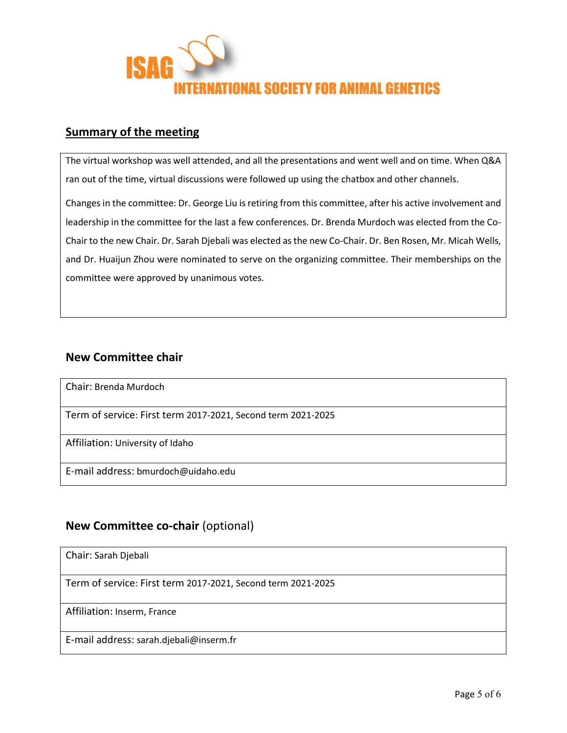

### **Summary of the meeting**

The virtual workshop was well attended, and all the presentations and went well and on time. When Q&A ran out of the time, virtual discussions were followed up using the chatbox and other channels.

Changes in the committee: Dr. George Liu is retiring from this committee, after his active involvement and leadership in the committee for the last a few conferences. Dr. Brenda Murdoch was elected from the Co-Chair to the new Chair. Dr. Sarah Djebali was elected as the new Co-Chair. Dr. Ben Rosen, Mr. Micah Wells, and Dr. Huaijun Zhou were nominated to serve on the organizing committee. Their memberships on the committee were approved by unanimous votes.

### **New Committee chair**

Chair: Brenda Murdoch

Term of service: First term 2017-2021, Second term 2021-2025

Affiliation: University of Idaho

E-mail address: bmurdoch@uidaho.edu

### **New Committee co-chair** (optional)

Chair: Sarah Djebali

Term of service: First term 2017-2021, Second term 2021-2025

Affiliation: Inserm, France

E-mail address: sarah.djebali@inserm.fr